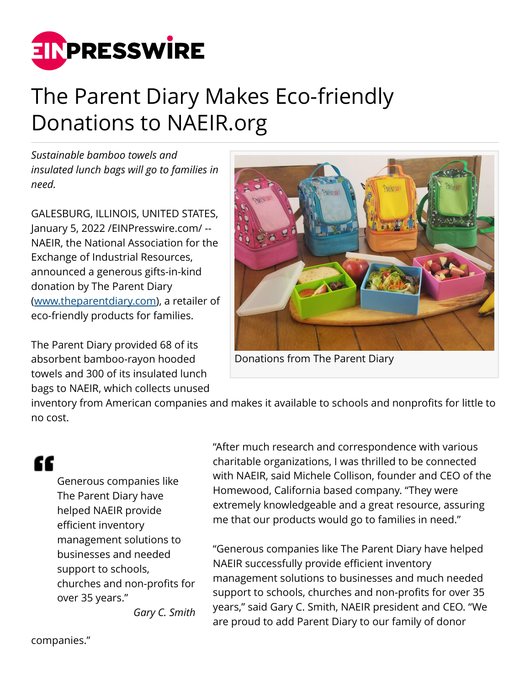

## The Parent Diary Makes Eco-friendly Donations to NAEIR.org

*Sustainable bamboo towels and insulated lunch bags will go to families in need.*

GALESBURG, ILLINOIS, UNITED STATES, January 5, 2022 [/EINPresswire.com](http://www.einpresswire.com)/ -- NAEIR, the National Association for the Exchange of Industrial Resources, announced a generous gifts-in-kind donation by The Parent Diary ([www.theparentdiary.com](http://www.theparentdiary.com)), a retailer of eco-friendly products for families.

The Parent Diary provided 68 of its absorbent bamboo-rayon hooded towels and 300 of its insulated lunch bags to NAEIR, which collects unused



Donations from The Parent Diary

inventory from American companies and makes it available to schools and nonprofits for little to no cost.

## ſſ

Generous companies like The Parent Diary have helped NAEIR provide efficient inventory management solutions to businesses and needed support to schools, churches and non-profits for over 35 years."

"After much research and correspondence with various charitable organizations, I was thrilled to be connected with NAEIR, said Michele Collison, founder and CEO of the Homewood, California based company. "They were extremely knowledgeable and a great resource, assuring me that our products would go to families in need."

"Generous companies like The Parent Diary have helped NAEIR successfully provide efficient inventory management solutions to businesses and much needed support to schools, churches and non-profits for over 35 years," said Gary C. Smith, NAEIR president and CEO. "We are proud to add Parent Diary to our family of donor

*Gary C. Smith*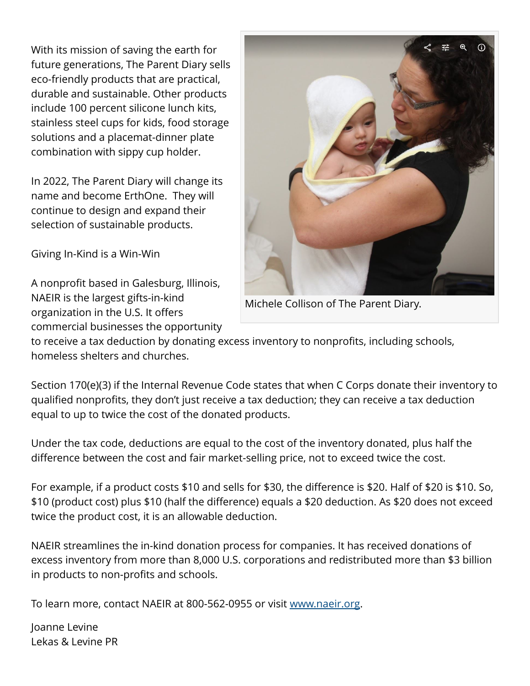With its mission of saving the earth for future generations, The Parent Diary sells eco-friendly products that are practical, durable and sustainable. Other products include 100 percent silicone lunch kits, stainless steel cups for kids, food storage solutions and a placemat-dinner plate combination with sippy cup holder.

In 2022, The Parent Diary will change its name and become ErthOne. They will continue to design and expand their selection of sustainable products.

Giving In-Kind is a Win-Win

A nonprofit based in Galesburg, Illinois, NAEIR is the largest gifts-in-kind organization in the U.S. It offers commercial businesses the opportunity



Michele Collison of The Parent Diary.

to receive a tax deduction by donating excess inventory to nonprofits, including schools, homeless shelters and churches.

Section 170(e)(3) if the Internal Revenue Code states that when C Corps donate their inventory to qualified nonprofits, they don't just receive a tax deduction; they can receive a tax deduction equal to up to twice the cost of the donated products.

Under the tax code, deductions are equal to the cost of the inventory donated, plus half the difference between the cost and fair market-selling price, not to exceed twice the cost.

For example, if a product costs \$10 and sells for \$30, the difference is \$20. Half of \$20 is \$10. So, \$10 (product cost) plus \$10 (half the difference) equals a \$20 deduction. As \$20 does not exceed twice the product cost, it is an allowable deduction.

NAEIR streamlines the in-kind donation process for companies. It has received donations of excess inventory from more than 8,000 U.S. corporations and redistributed more than \$3 billion in products to non-profits and schools.

To learn more, contact NAEIR at 800-562-0955 or visit [www.naeir.org](http://www.naeir.org).

Joanne Levine Lekas & Levine PR